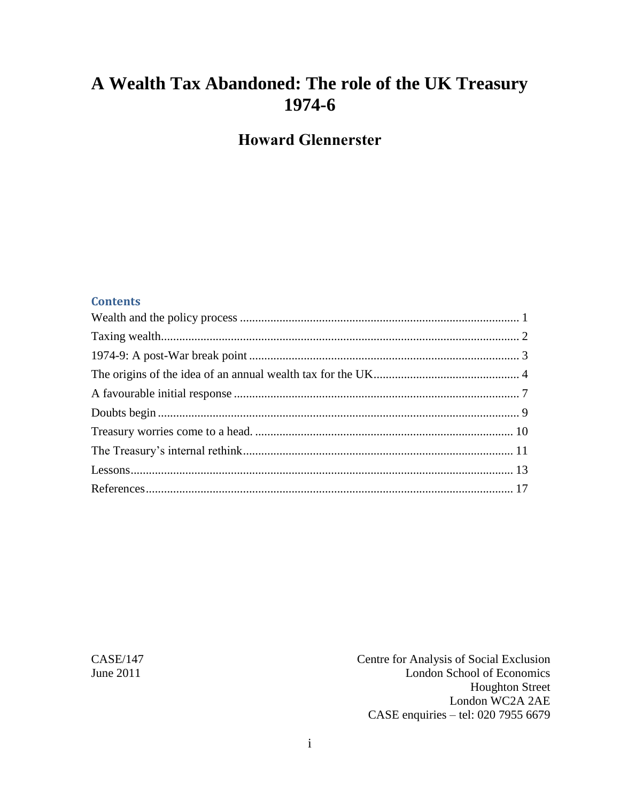# **A Wealth Tax Abandoned: The role of the UK Treasury 1974-6**

**Howard Glennerster**

#### **Contents**

CASE/147 Centre for Analysis of Social Exclusion June 2011 London School of Economics Houghton Street London WC2A 2AE CASE enquiries – tel: 020 7955 6679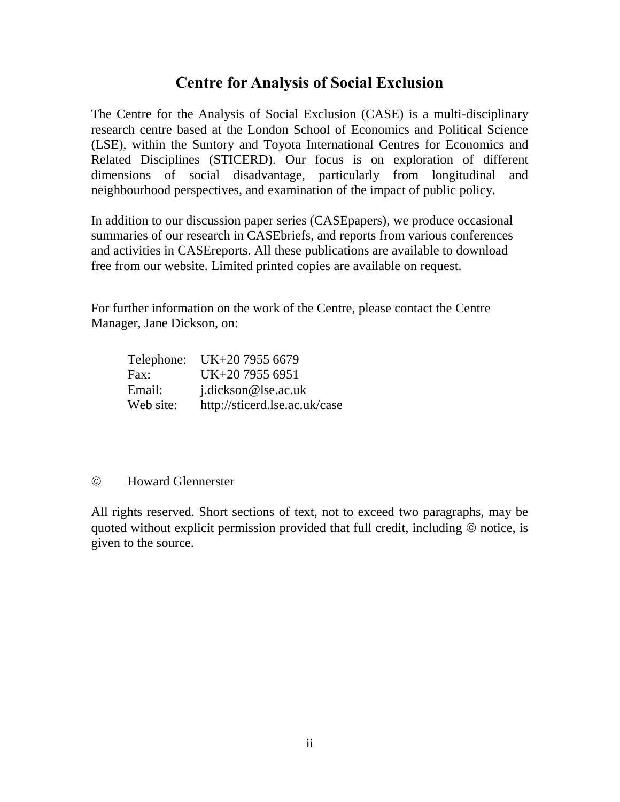## **Centre for Analysis of Social Exclusion**

The Centre for the Analysis of Social Exclusion (CASE) is a multi-disciplinary research centre based at the London School of Economics and Political Science (LSE), within the Suntory and Toyota International Centres for Economics and Related Disciplines (STICERD). Our focus is on exploration of different dimensions of social disadvantage, particularly from longitudinal and neighbourhood perspectives, and examination of the impact of public policy.

In addition to our discussion paper series (CASEpapers), we produce occasional summaries of our research in CASEbriefs, and reports from various conferences and activities in CASEreports. All these publications are available to download free from our website. Limited printed copies are available on request.

For further information on the work of the Centre, please contact the Centre Manager, Jane Dickson, on:

|           | Telephone: UK+20 7955 6679    |
|-----------|-------------------------------|
| Fax:      | UK+20 7955 6951               |
| Email:    | j.dickson@lse.ac.uk           |
| Web site: | http://sticerd.lse.ac.uk/case |

#### Howard Glennerster

All rights reserved. Short sections of text, not to exceed two paragraphs, may be quoted without explicit permission provided that full credit, including  $\odot$  notice, is given to the source.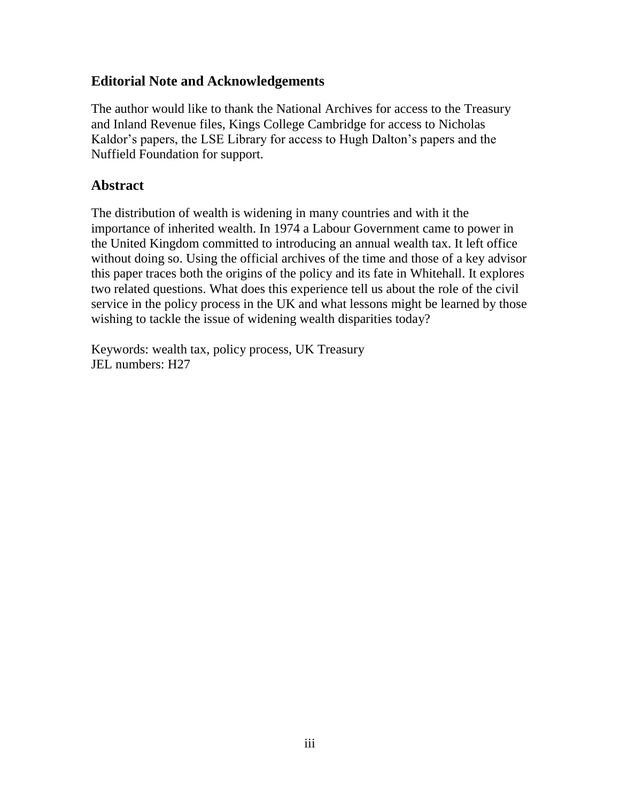### **Editorial Note and Acknowledgements**

The author would like to thank the National Archives for access to the Treasury and Inland Revenue files, Kings College Cambridge for access to Nicholas Kaldor's papers, the LSE Library for access to Hugh Dalton's papers and the Nuffield Foundation for support.

### **Abstract**

The distribution of wealth is widening in many countries and with it the importance of inherited wealth. In 1974 a Labour Government came to power in the United Kingdom committed to introducing an annual wealth tax. It left office without doing so. Using the official archives of the time and those of a key advisor this paper traces both the origins of the policy and its fate in Whitehall. It explores two related questions. What does this experience tell us about the role of the civil service in the policy process in the UK and what lessons might be learned by those wishing to tackle the issue of widening wealth disparities today?

Keywords: wealth tax, policy process, UK Treasury JEL numbers: H27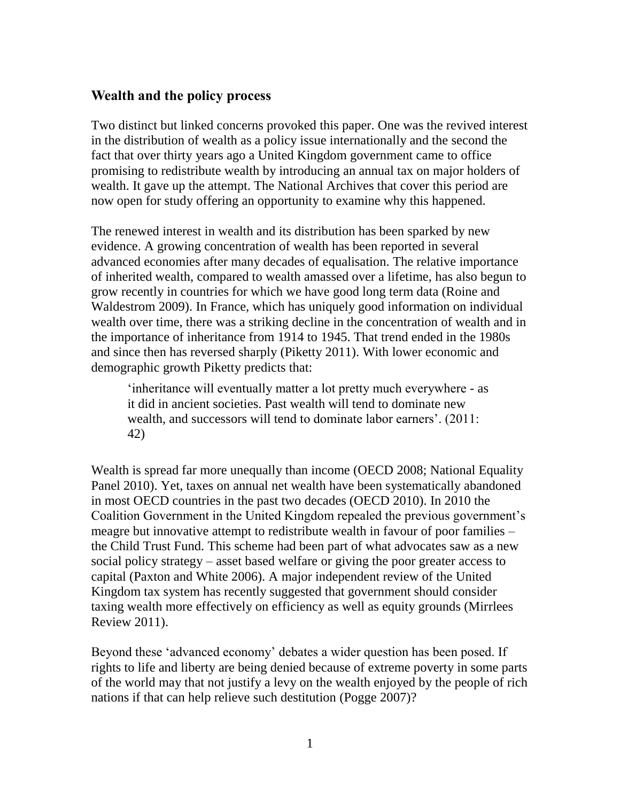### <span id="page-3-0"></span>**Wealth and the policy process**

Two distinct but linked concerns provoked this paper. One was the revived interest in the distribution of wealth as a policy issue internationally and the second the fact that over thirty years ago a United Kingdom government came to office promising to redistribute wealth by introducing an annual tax on major holders of wealth. It gave up the attempt. The National Archives that cover this period are now open for study offering an opportunity to examine why this happened.

The renewed interest in wealth and its distribution has been sparked by new evidence. A growing concentration of wealth has been reported in several advanced economies after many decades of equalisation. The relative importance of inherited wealth, compared to wealth amassed over a lifetime, has also begun to grow recently in countries for which we have good long term data (Roine and Waldestrom 2009). In France, which has uniquely good information on individual wealth over time, there was a striking decline in the concentration of wealth and in the importance of inheritance from 1914 to 1945. That trend ended in the 1980s and since then has reversed sharply (Piketty 2011). With lower economic and demographic growth Piketty predicts that:

"inheritance will eventually matter a lot pretty much everywhere - as it did in ancient societies. Past wealth will tend to dominate new wealth, and successors will tend to dominate labor earners'. (2011: 42)

Wealth is spread far more unequally than income (OECD 2008; National Equality Panel 2010). Yet, taxes on annual net wealth have been systematically abandoned in most OECD countries in the past two decades (OECD 2010). In 2010 the Coalition Government in the United Kingdom repealed the previous government's meagre but innovative attempt to redistribute wealth in favour of poor families – the Child Trust Fund. This scheme had been part of what advocates saw as a new social policy strategy – asset based welfare or giving the poor greater access to capital (Paxton and White 2006). A major independent review of the United Kingdom tax system has recently suggested that government should consider taxing wealth more effectively on efficiency as well as equity grounds (Mirrlees Review 2011).

Beyond these "advanced economy" debates a wider question has been posed. If rights to life and liberty are being denied because of extreme poverty in some parts of the world may that not justify a levy on the wealth enjoyed by the people of rich nations if that can help relieve such destitution (Pogge 2007)?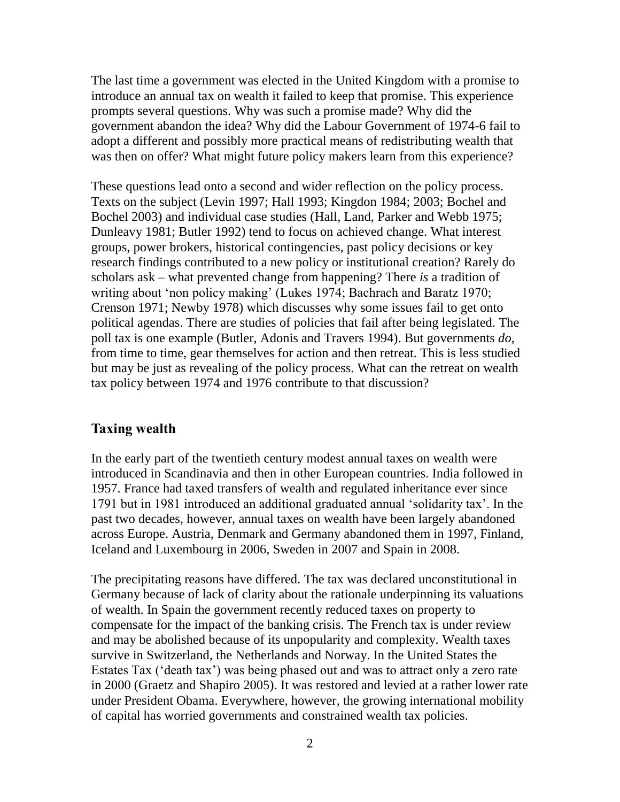The last time a government was elected in the United Kingdom with a promise to introduce an annual tax on wealth it failed to keep that promise. This experience prompts several questions. Why was such a promise made? Why did the government abandon the idea? Why did the Labour Government of 1974-6 fail to adopt a different and possibly more practical means of redistributing wealth that was then on offer? What might future policy makers learn from this experience?

These questions lead onto a second and wider reflection on the policy process. Texts on the subject (Levin 1997; Hall 1993; Kingdon 1984; 2003; Bochel and Bochel 2003) and individual case studies (Hall, Land, Parker and Webb 1975; Dunleavy 1981; Butler 1992) tend to focus on achieved change. What interest groups, power brokers, historical contingencies, past policy decisions or key research findings contributed to a new policy or institutional creation? Rarely do scholars ask – what prevented change from happening? There *is* a tradition of writing about 'non policy making' (Lukes 1974; Bachrach and Baratz 1970; Crenson 1971; Newby 1978) which discusses why some issues fail to get onto political agendas. There are studies of policies that fail after being legislated. The poll tax is one example (Butler, Adonis and Travers 1994). But governments *do*, from time to time, gear themselves for action and then retreat. This is less studied but may be just as revealing of the policy process. What can the retreat on wealth tax policy between 1974 and 1976 contribute to that discussion?

#### <span id="page-4-0"></span>**Taxing wealth**

In the early part of the twentieth century modest annual taxes on wealth were introduced in Scandinavia and then in other European countries. India followed in 1957. France had taxed transfers of wealth and regulated inheritance ever since 1791 but in 1981 introduced an additional graduated annual "solidarity tax". In the past two decades, however, annual taxes on wealth have been largely abandoned across Europe. Austria, Denmark and Germany abandoned them in 1997, Finland, Iceland and Luxembourg in 2006, Sweden in 2007 and Spain in 2008.

The precipitating reasons have differed. The tax was declared unconstitutional in Germany because of lack of clarity about the rationale underpinning its valuations of wealth. In Spain the government recently reduced taxes on property to compensate for the impact of the banking crisis. The French tax is under review and may be abolished because of its unpopularity and complexity. Wealth taxes survive in Switzerland, the Netherlands and Norway. In the United States the Estates Tax ("death tax") was being phased out and was to attract only a zero rate in 2000 (Graetz and Shapiro 2005). It was restored and levied at a rather lower rate under President Obama. Everywhere, however, the growing international mobility of capital has worried governments and constrained wealth tax policies.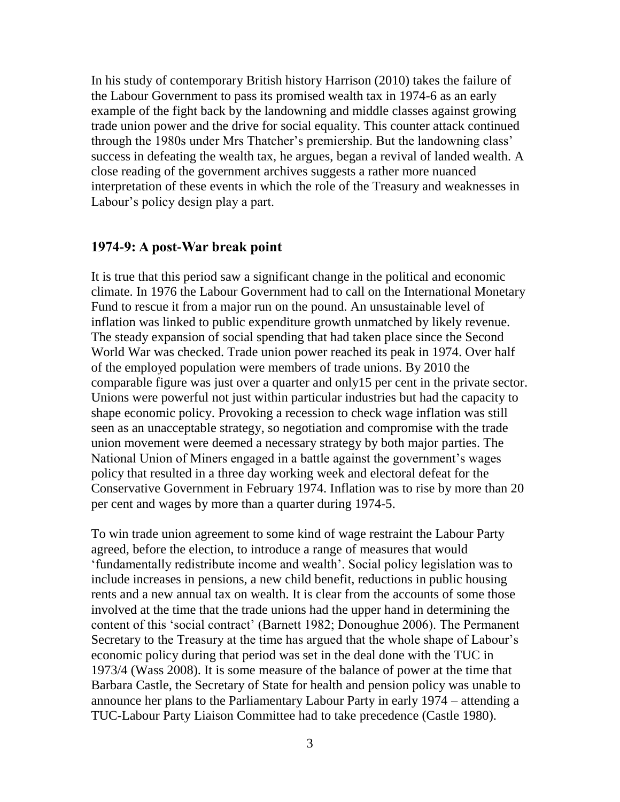In his study of contemporary British history Harrison (2010) takes the failure of the Labour Government to pass its promised wealth tax in 1974-6 as an early example of the fight back by the landowning and middle classes against growing trade union power and the drive for social equality. This counter attack continued through the 1980s under Mrs Thatcher's premiership. But the landowning class' success in defeating the wealth tax, he argues, began a revival of landed wealth. A close reading of the government archives suggests a rather more nuanced interpretation of these events in which the role of the Treasury and weaknesses in Labour"s policy design play a part.

#### <span id="page-5-0"></span>**1974-9: A post-War break point**

It is true that this period saw a significant change in the political and economic climate. In 1976 the Labour Government had to call on the International Monetary Fund to rescue it from a major run on the pound. An unsustainable level of inflation was linked to public expenditure growth unmatched by likely revenue. The steady expansion of social spending that had taken place since the Second World War was checked. Trade union power reached its peak in 1974. Over half of the employed population were members of trade unions. By 2010 the comparable figure was just over a quarter and only15 per cent in the private sector. Unions were powerful not just within particular industries but had the capacity to shape economic policy. Provoking a recession to check wage inflation was still seen as an unacceptable strategy, so negotiation and compromise with the trade union movement were deemed a necessary strategy by both major parties. The National Union of Miners engaged in a battle against the government's wages policy that resulted in a three day working week and electoral defeat for the Conservative Government in February 1974. Inflation was to rise by more than 20 per cent and wages by more than a quarter during 1974-5.

To win trade union agreement to some kind of wage restraint the Labour Party agreed, before the election, to introduce a range of measures that would "fundamentally redistribute income and wealth". Social policy legislation was to include increases in pensions, a new child benefit, reductions in public housing rents and a new annual tax on wealth. It is clear from the accounts of some those involved at the time that the trade unions had the upper hand in determining the content of this "social contract" (Barnett 1982; Donoughue 2006). The Permanent Secretary to the Treasury at the time has argued that the whole shape of Labour"s economic policy during that period was set in the deal done with the TUC in 1973/4 (Wass 2008). It is some measure of the balance of power at the time that Barbara Castle, the Secretary of State for health and pension policy was unable to announce her plans to the Parliamentary Labour Party in early 1974 – attending a TUC-Labour Party Liaison Committee had to take precedence (Castle 1980).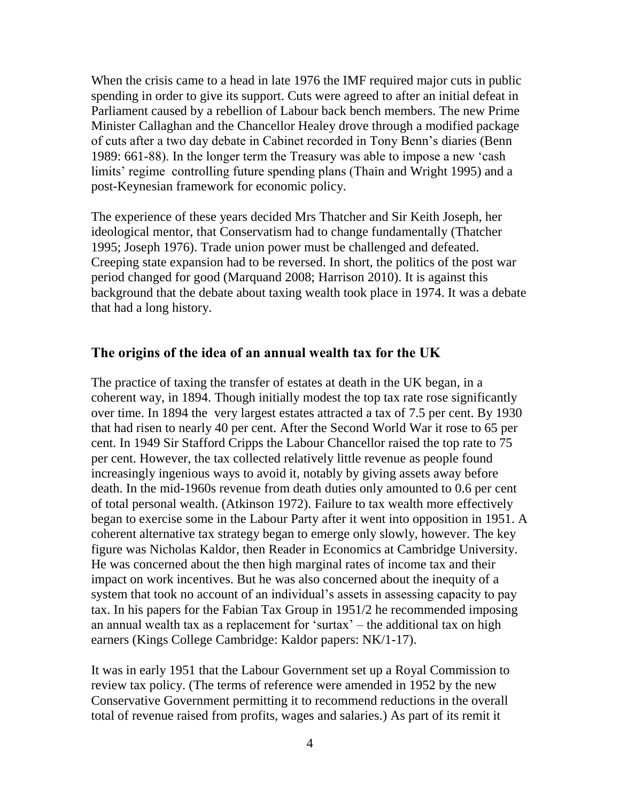When the crisis came to a head in late 1976 the IMF required major cuts in public spending in order to give its support. Cuts were agreed to after an initial defeat in Parliament caused by a rebellion of Labour back bench members. The new Prime Minister Callaghan and the Chancellor Healey drove through a modified package of cuts after a two day debate in Cabinet recorded in Tony Benn"s diaries (Benn 1989: 661-88). In the longer term the Treasury was able to impose a new "cash limits' regime controlling future spending plans (Thain and Wright 1995) and a post-Keynesian framework for economic policy.

The experience of these years decided Mrs Thatcher and Sir Keith Joseph, her ideological mentor, that Conservatism had to change fundamentally (Thatcher 1995; Joseph 1976). Trade union power must be challenged and defeated. Creeping state expansion had to be reversed. In short, the politics of the post war period changed for good (Marquand 2008; Harrison 2010). It is against this background that the debate about taxing wealth took place in 1974. It was a debate that had a long history.

### <span id="page-6-0"></span>**The origins of the idea of an annual wealth tax for the UK**

The practice of taxing the transfer of estates at death in the UK began, in a coherent way, in 1894. Though initially modest the top tax rate rose significantly over time. In 1894 the very largest estates attracted a tax of 7.5 per cent. By 1930 that had risen to nearly 40 per cent. After the Second World War it rose to 65 per cent. In 1949 Sir Stafford Cripps the Labour Chancellor raised the top rate to 75 per cent. However, the tax collected relatively little revenue as people found increasingly ingenious ways to avoid it, notably by giving assets away before death. In the mid-1960s revenue from death duties only amounted to 0.6 per cent of total personal wealth. (Atkinson 1972). Failure to tax wealth more effectively began to exercise some in the Labour Party after it went into opposition in 1951. A coherent alternative tax strategy began to emerge only slowly, however. The key figure was Nicholas Kaldor, then Reader in Economics at Cambridge University. He was concerned about the then high marginal rates of income tax and their impact on work incentives. But he was also concerned about the inequity of a system that took no account of an individual's assets in assessing capacity to pay tax. In his papers for the Fabian Tax Group in 1951/2 he recommended imposing an annual wealth tax as a replacement for "surtax" – the additional tax on high earners (Kings College Cambridge: Kaldor papers: NK/1-17).

It was in early 1951 that the Labour Government set up a Royal Commission to review tax policy. (The terms of reference were amended in 1952 by the new Conservative Government permitting it to recommend reductions in the overall total of revenue raised from profits, wages and salaries.) As part of its remit it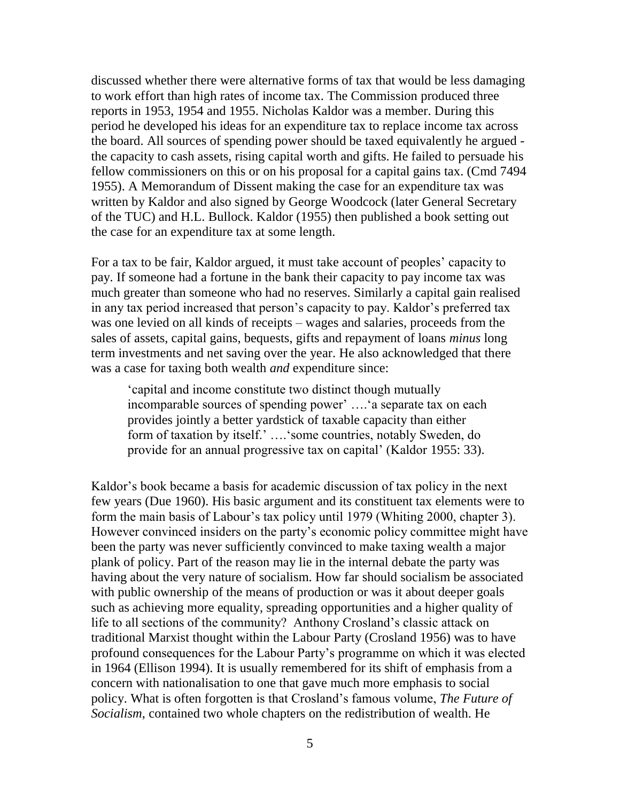discussed whether there were alternative forms of tax that would be less damaging to work effort than high rates of income tax. The Commission produced three reports in 1953, 1954 and 1955. Nicholas Kaldor was a member. During this period he developed his ideas for an expenditure tax to replace income tax across the board. All sources of spending power should be taxed equivalently he argued the capacity to cash assets, rising capital worth and gifts. He failed to persuade his fellow commissioners on this or on his proposal for a capital gains tax. (Cmd 7494 1955). A Memorandum of Dissent making the case for an expenditure tax was written by Kaldor and also signed by George Woodcock (later General Secretary of the TUC) and H.L. Bullock. Kaldor (1955) then published a book setting out the case for an expenditure tax at some length.

For a tax to be fair, Kaldor argued, it must take account of peoples' capacity to pay. If someone had a fortune in the bank their capacity to pay income tax was much greater than someone who had no reserves. Similarly a capital gain realised in any tax period increased that person's capacity to pay. Kaldor's preferred tax was one levied on all kinds of receipts – wages and salaries, proceeds from the sales of assets, capital gains, bequests, gifts and repayment of loans *minus* long term investments and net saving over the year. He also acknowledged that there was a case for taxing both wealth *and* expenditure since:

"capital and income constitute two distinct though mutually incomparable sources of spending power' .... 'a separate tax on each provides jointly a better yardstick of taxable capacity than either form of taxation by itself.'... 'some countries, notably Sweden, do provide for an annual progressive tax on capital" (Kaldor 1955: 33).

Kaldor"s book became a basis for academic discussion of tax policy in the next few years (Due 1960). His basic argument and its constituent tax elements were to form the main basis of Labour's tax policy until 1979 (Whiting 2000, chapter 3). However convinced insiders on the party"s economic policy committee might have been the party was never sufficiently convinced to make taxing wealth a major plank of policy. Part of the reason may lie in the internal debate the party was having about the very nature of socialism. How far should socialism be associated with public ownership of the means of production or was it about deeper goals such as achieving more equality, spreading opportunities and a higher quality of life to all sections of the community? Anthony Crosland's classic attack on traditional Marxist thought within the Labour Party (Crosland 1956) was to have profound consequences for the Labour Party"s programme on which it was elected in 1964 (Ellison 1994). It is usually remembered for its shift of emphasis from a concern with nationalisation to one that gave much more emphasis to social policy. What is often forgotten is that Crosland"s famous volume, *The Future of Socialism*, contained two whole chapters on the redistribution of wealth. He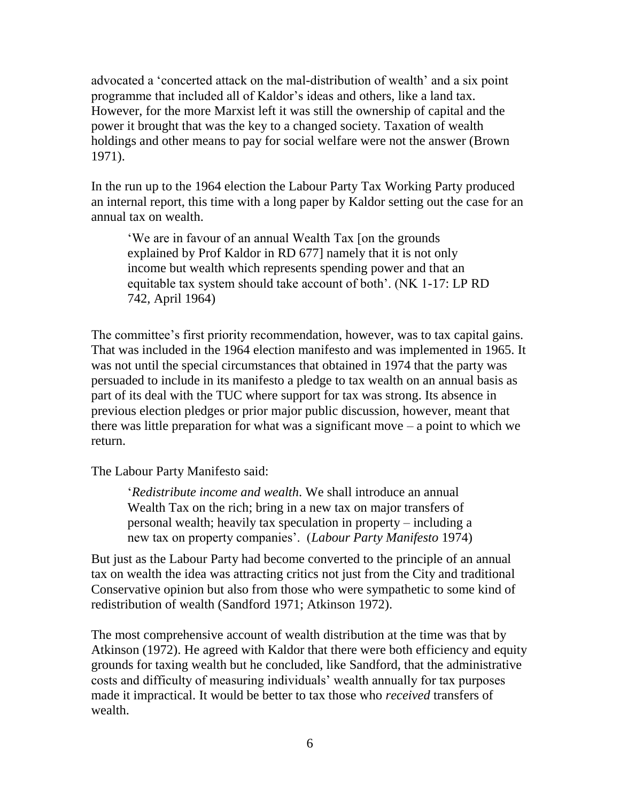advocated a "concerted attack on the mal-distribution of wealth" and a six point programme that included all of Kaldor"s ideas and others, like a land tax. However, for the more Marxist left it was still the ownership of capital and the power it brought that was the key to a changed society. Taxation of wealth holdings and other means to pay for social welfare were not the answer (Brown 1971).

In the run up to the 1964 election the Labour Party Tax Working Party produced an internal report, this time with a long paper by Kaldor setting out the case for an annual tax on wealth.

"We are in favour of an annual Wealth Tax [on the grounds explained by Prof Kaldor in RD 677] namely that it is not only income but wealth which represents spending power and that an equitable tax system should take account of both". (NK 1-17: LP RD 742, April 1964)

The committee's first priority recommendation, however, was to tax capital gains. That was included in the 1964 election manifesto and was implemented in 1965. It was not until the special circumstances that obtained in 1974 that the party was persuaded to include in its manifesto a pledge to tax wealth on an annual basis as part of its deal with the TUC where support for tax was strong. Its absence in previous election pledges or prior major public discussion, however, meant that there was little preparation for what was a significant move  $-$  a point to which we return.

The Labour Party Manifesto said:

"*Redistribute income and wealth*. We shall introduce an annual Wealth Tax on the rich; bring in a new tax on major transfers of personal wealth; heavily tax speculation in property – including a new tax on property companies". (*Labour Party Manifesto* 1974)

But just as the Labour Party had become converted to the principle of an annual tax on wealth the idea was attracting critics not just from the City and traditional Conservative opinion but also from those who were sympathetic to some kind of redistribution of wealth (Sandford 1971; Atkinson 1972).

The most comprehensive account of wealth distribution at the time was that by Atkinson (1972). He agreed with Kaldor that there were both efficiency and equity grounds for taxing wealth but he concluded, like Sandford, that the administrative costs and difficulty of measuring individuals" wealth annually for tax purposes made it impractical. It would be better to tax those who *received* transfers of wealth.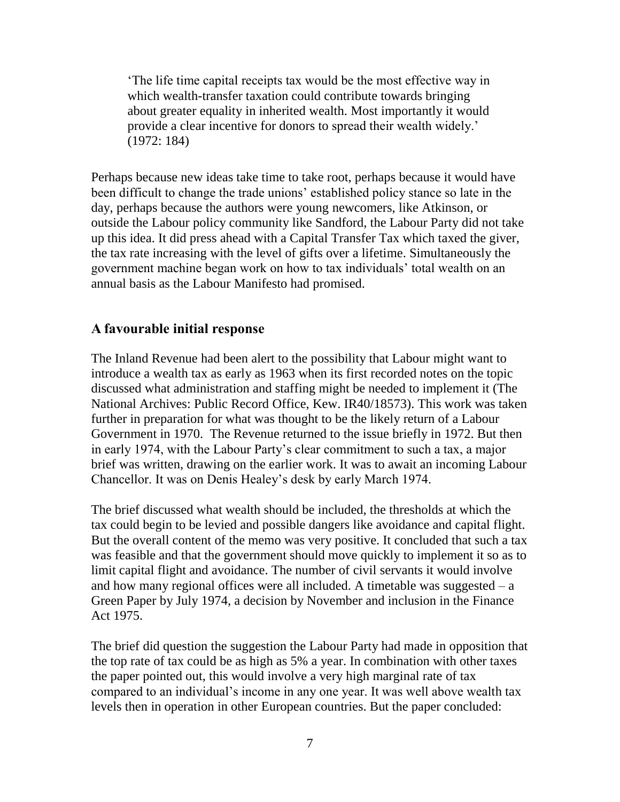"The life time capital receipts tax would be the most effective way in which wealth-transfer taxation could contribute towards bringing about greater equality in inherited wealth. Most importantly it would provide a clear incentive for donors to spread their wealth widely." (1972: 184)

Perhaps because new ideas take time to take root, perhaps because it would have been difficult to change the trade unions' established policy stance so late in the day, perhaps because the authors were young newcomers, like Atkinson, or outside the Labour policy community like Sandford, the Labour Party did not take up this idea. It did press ahead with a Capital Transfer Tax which taxed the giver, the tax rate increasing with the level of gifts over a lifetime. Simultaneously the government machine began work on how to tax individuals" total wealth on an annual basis as the Labour Manifesto had promised.

### <span id="page-9-0"></span>**A favourable initial response**

The Inland Revenue had been alert to the possibility that Labour might want to introduce a wealth tax as early as 1963 when its first recorded notes on the topic discussed what administration and staffing might be needed to implement it (The National Archives: Public Record Office, Kew. IR40/18573). This work was taken further in preparation for what was thought to be the likely return of a Labour Government in 1970. The Revenue returned to the issue briefly in 1972. But then in early 1974, with the Labour Party"s clear commitment to such a tax, a major brief was written, drawing on the earlier work. It was to await an incoming Labour Chancellor. It was on Denis Healey"s desk by early March 1974.

The brief discussed what wealth should be included, the thresholds at which the tax could begin to be levied and possible dangers like avoidance and capital flight. But the overall content of the memo was very positive. It concluded that such a tax was feasible and that the government should move quickly to implement it so as to limit capital flight and avoidance. The number of civil servants it would involve and how many regional offices were all included. A timetable was suggested  $-$  a Green Paper by July 1974, a decision by November and inclusion in the Finance Act 1975.

The brief did question the suggestion the Labour Party had made in opposition that the top rate of tax could be as high as 5% a year. In combination with other taxes the paper pointed out, this would involve a very high marginal rate of tax compared to an individual"s income in any one year. It was well above wealth tax levels then in operation in other European countries. But the paper concluded: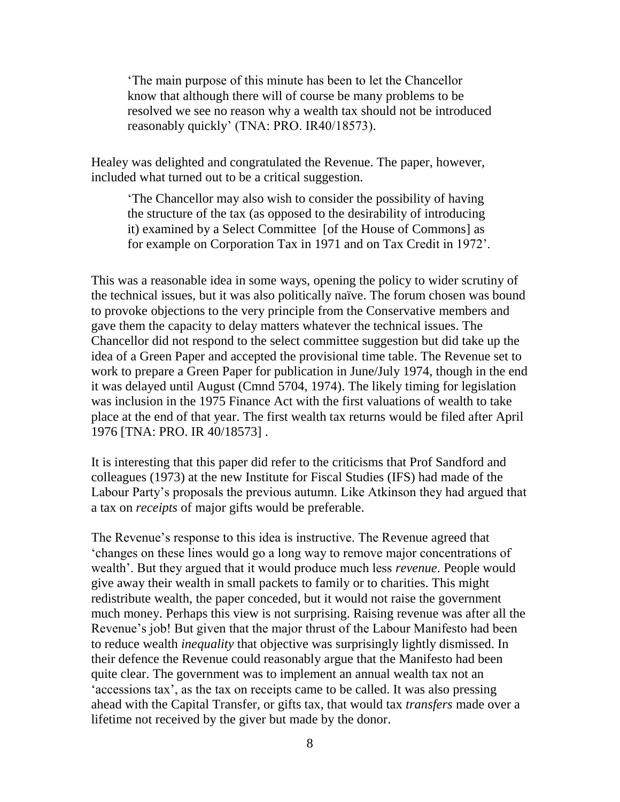"The main purpose of this minute has been to let the Chancellor know that although there will of course be many problems to be resolved we see no reason why a wealth tax should not be introduced reasonably quickly' (TNA: PRO. IR40/18573).

Healey was delighted and congratulated the Revenue. The paper, however, included what turned out to be a critical suggestion.

"The Chancellor may also wish to consider the possibility of having the structure of the tax (as opposed to the desirability of introducing it) examined by a Select Committee [of the House of Commons] as for example on Corporation Tax in 1971 and on Tax Credit in 1972".

This was a reasonable idea in some ways, opening the policy to wider scrutiny of the technical issues, but it was also politically naïve. The forum chosen was bound to provoke objections to the very principle from the Conservative members and gave them the capacity to delay matters whatever the technical issues. The Chancellor did not respond to the select committee suggestion but did take up the idea of a Green Paper and accepted the provisional time table. The Revenue set to work to prepare a Green Paper for publication in June/July 1974, though in the end it was delayed until August (Cmnd 5704, 1974). The likely timing for legislation was inclusion in the 1975 Finance Act with the first valuations of wealth to take place at the end of that year. The first wealth tax returns would be filed after April 1976 [TNA: PRO. IR 40/18573] .

It is interesting that this paper did refer to the criticisms that Prof Sandford and colleagues (1973) at the new Institute for Fiscal Studies (IFS) had made of the Labour Party"s proposals the previous autumn. Like Atkinson they had argued that a tax on *receipts* of major gifts would be preferable.

The Revenue's response to this idea is instructive. The Revenue agreed that "changes on these lines would go a long way to remove major concentrations of wealth". But they argued that it would produce much less *revenue*. People would give away their wealth in small packets to family or to charities. This might redistribute wealth, the paper conceded, but it would not raise the government much money. Perhaps this view is not surprising. Raising revenue was after all the Revenue's job! But given that the major thrust of the Labour Manifesto had been to reduce wealth *inequality* that objective was surprisingly lightly dismissed. In their defence the Revenue could reasonably argue that the Manifesto had been quite clear. The government was to implement an annual wealth tax not an "accessions tax", as the tax on receipts came to be called. It was also pressing ahead with the Capital Transfer, or gifts tax, that would tax *transfers* made over a lifetime not received by the giver but made by the donor.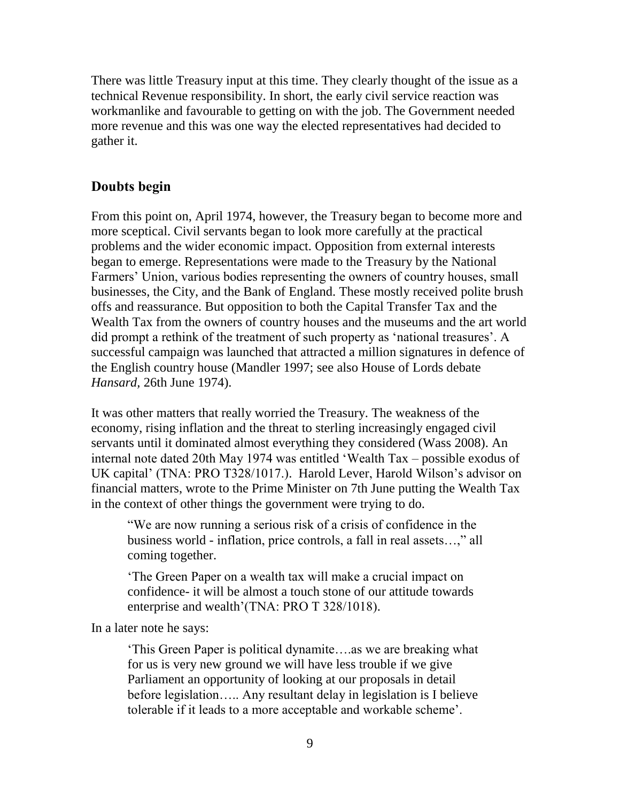There was little Treasury input at this time. They clearly thought of the issue as a technical Revenue responsibility. In short, the early civil service reaction was workmanlike and favourable to getting on with the job. The Government needed more revenue and this was one way the elected representatives had decided to gather it.

### <span id="page-11-0"></span>**Doubts begin**

From this point on, April 1974, however, the Treasury began to become more and more sceptical. Civil servants began to look more carefully at the practical problems and the wider economic impact. Opposition from external interests began to emerge. Representations were made to the Treasury by the National Farmers' Union, various bodies representing the owners of country houses, small businesses, the City, and the Bank of England. These mostly received polite brush offs and reassurance. But opposition to both the Capital Transfer Tax and the Wealth Tax from the owners of country houses and the museums and the art world did prompt a rethink of the treatment of such property as "national treasures". A successful campaign was launched that attracted a million signatures in defence of the English country house (Mandler 1997; see also House of Lords debate *Hansard,* 26th June 1974).

It was other matters that really worried the Treasury. The weakness of the economy, rising inflation and the threat to sterling increasingly engaged civil servants until it dominated almost everything they considered (Wass 2008). An internal note dated 20th May 1974 was entitled "Wealth Tax – possible exodus of UK capital" (TNA: PRO T328/1017.). Harold Lever, Harold Wilson"s advisor on financial matters, wrote to the Prime Minister on 7th June putting the Wealth Tax in the context of other things the government were trying to do.

"We are now running a serious risk of a crisis of confidence in the business world - inflation, price controls, a fall in real assets…," all coming together.

"The Green Paper on a wealth tax will make a crucial impact on confidence- it will be almost a touch stone of our attitude towards enterprise and wealth"(TNA: PRO T 328/1018).

In a later note he says:

"This Green Paper is political dynamite….as we are breaking what for us is very new ground we will have less trouble if we give Parliament an opportunity of looking at our proposals in detail before legislation….. Any resultant delay in legislation is I believe tolerable if it leads to a more acceptable and workable scheme".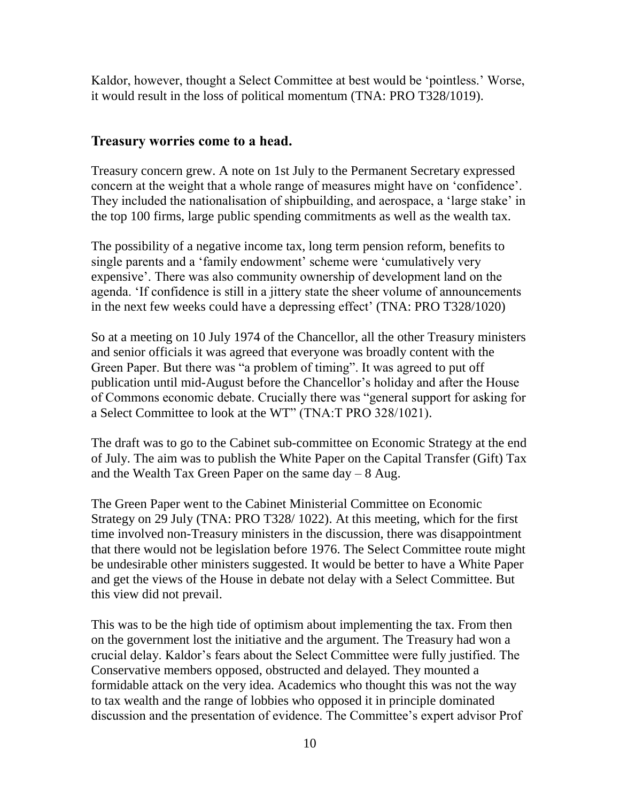Kaldor, however, thought a Select Committee at best would be "pointless." Worse, it would result in the loss of political momentum (TNA: PRO T328/1019).

### <span id="page-12-0"></span>**Treasury worries come to a head.**

Treasury concern grew. A note on 1st July to the Permanent Secretary expressed concern at the weight that a whole range of measures might have on "confidence". They included the nationalisation of shipbuilding, and aerospace, a "large stake" in the top 100 firms, large public spending commitments as well as the wealth tax.

The possibility of a negative income tax, long term pension reform, benefits to single parents and a 'family endowment' scheme were 'cumulatively very expensive'. There was also community ownership of development land on the agenda. "If confidence is still in a jittery state the sheer volume of announcements in the next few weeks could have a depressing effect' (TNA: PRO T328/1020)

So at a meeting on 10 July 1974 of the Chancellor, all the other Treasury ministers and senior officials it was agreed that everyone was broadly content with the Green Paper. But there was "a problem of timing". It was agreed to put off publication until mid-August before the Chancellor"s holiday and after the House of Commons economic debate. Crucially there was "general support for asking for a Select Committee to look at the WT" (TNA:T PRO 328/1021).

The draft was to go to the Cabinet sub-committee on Economic Strategy at the end of July. The aim was to publish the White Paper on the Capital Transfer (Gift) Tax and the Wealth Tax Green Paper on the same day  $-8$  Aug.

The Green Paper went to the Cabinet Ministerial Committee on Economic Strategy on 29 July (TNA: PRO T328/ 1022). At this meeting, which for the first time involved non-Treasury ministers in the discussion, there was disappointment that there would not be legislation before 1976. The Select Committee route might be undesirable other ministers suggested. It would be better to have a White Paper and get the views of the House in debate not delay with a Select Committee. But this view did not prevail.

This was to be the high tide of optimism about implementing the tax. From then on the government lost the initiative and the argument. The Treasury had won a crucial delay. Kaldor"s fears about the Select Committee were fully justified. The Conservative members opposed, obstructed and delayed. They mounted a formidable attack on the very idea. Academics who thought this was not the way to tax wealth and the range of lobbies who opposed it in principle dominated discussion and the presentation of evidence. The Committee"s expert advisor Prof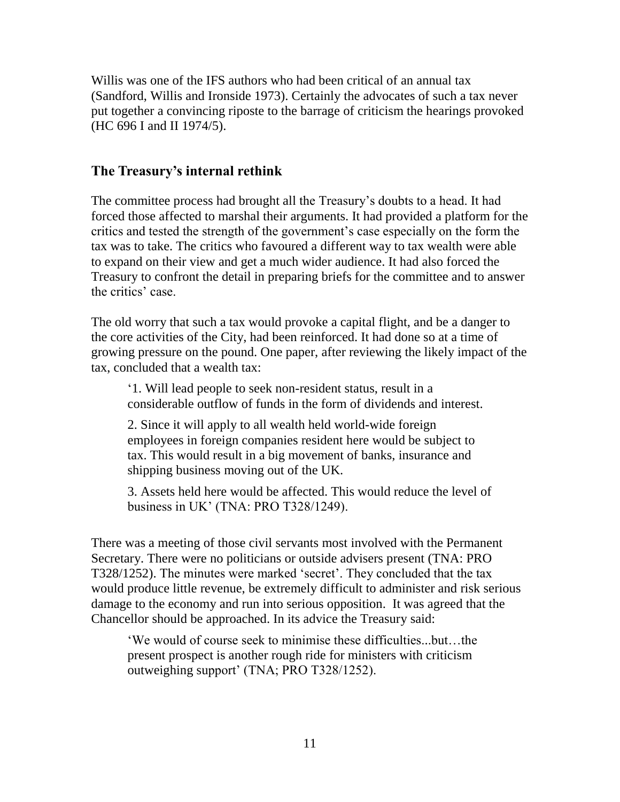Willis was one of the IFS authors who had been critical of an annual tax (Sandford, Willis and Ironside 1973). Certainly the advocates of such a tax never put together a convincing riposte to the barrage of criticism the hearings provoked (HC 696 I and II 1974/5).

### <span id="page-13-0"></span>**The Treasury's internal rethink**

The committee process had brought all the Treasury"s doubts to a head. It had forced those affected to marshal their arguments. It had provided a platform for the critics and tested the strength of the government"s case especially on the form the tax was to take. The critics who favoured a different way to tax wealth were able to expand on their view and get a much wider audience. It had also forced the Treasury to confront the detail in preparing briefs for the committee and to answer the critics' case.

The old worry that such a tax would provoke a capital flight, and be a danger to the core activities of the City, had been reinforced. It had done so at a time of growing pressure on the pound. One paper, after reviewing the likely impact of the tax, concluded that a wealth tax:

"1. Will lead people to seek non-resident status, result in a considerable outflow of funds in the form of dividends and interest.

2. Since it will apply to all wealth held world-wide foreign employees in foreign companies resident here would be subject to tax. This would result in a big movement of banks, insurance and shipping business moving out of the UK.

3. Assets held here would be affected. This would reduce the level of business in UK" (TNA: PRO T328/1249).

There was a meeting of those civil servants most involved with the Permanent Secretary. There were no politicians or outside advisers present (TNA: PRO T328/1252). The minutes were marked "secret". They concluded that the tax would produce little revenue, be extremely difficult to administer and risk serious damage to the economy and run into serious opposition. It was agreed that the Chancellor should be approached. In its advice the Treasury said:

"We would of course seek to minimise these difficulties...but…the present prospect is another rough ride for ministers with criticism outweighing support" (TNA; PRO T328/1252).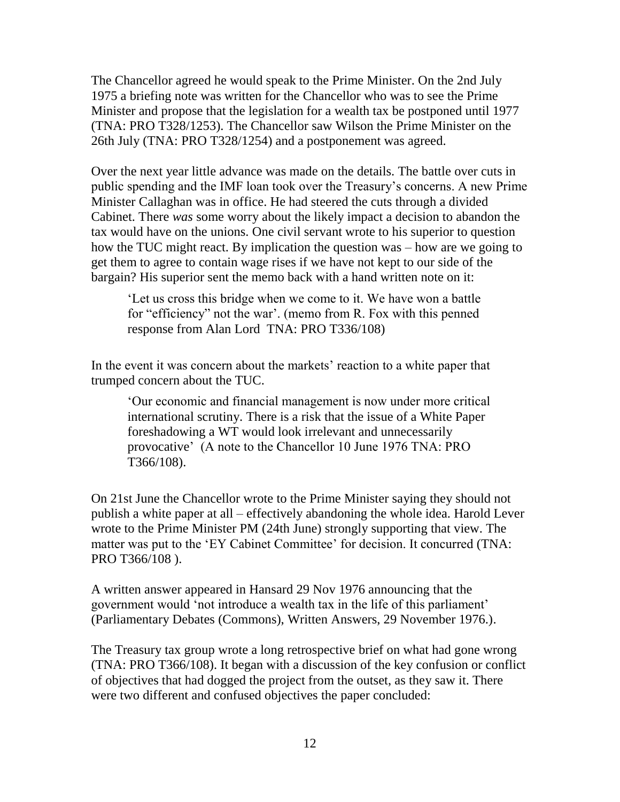The Chancellor agreed he would speak to the Prime Minister. On the 2nd July 1975 a briefing note was written for the Chancellor who was to see the Prime Minister and propose that the legislation for a wealth tax be postponed until 1977 (TNA: PRO T328/1253). The Chancellor saw Wilson the Prime Minister on the 26th July (TNA: PRO T328/1254) and a postponement was agreed.

Over the next year little advance was made on the details. The battle over cuts in public spending and the IMF loan took over the Treasury"s concerns. A new Prime Minister Callaghan was in office. He had steered the cuts through a divided Cabinet. There *was* some worry about the likely impact a decision to abandon the tax would have on the unions. One civil servant wrote to his superior to question how the TUC might react. By implication the question was – how are we going to get them to agree to contain wage rises if we have not kept to our side of the bargain? His superior sent the memo back with a hand written note on it:

"Let us cross this bridge when we come to it. We have won a battle for "efficiency" not the war". (memo from R. Fox with this penned response from Alan Lord TNA: PRO T336/108)

In the event it was concern about the markets' reaction to a white paper that trumped concern about the TUC.

"Our economic and financial management is now under more critical international scrutiny. There is a risk that the issue of a White Paper foreshadowing a WT would look irrelevant and unnecessarily provocative" (A note to the Chancellor 10 June 1976 TNA: PRO T366/108).

On 21st June the Chancellor wrote to the Prime Minister saying they should not publish a white paper at all – effectively abandoning the whole idea. Harold Lever wrote to the Prime Minister PM (24th June) strongly supporting that view. The matter was put to the 'EY Cabinet Committee' for decision. It concurred (TNA: PRO T366/108 ).

A written answer appeared in Hansard 29 Nov 1976 announcing that the government would "not introduce a wealth tax in the life of this parliament" (Parliamentary Debates (Commons), Written Answers, 29 November 1976.).

The Treasury tax group wrote a long retrospective brief on what had gone wrong (TNA: PRO T366/108). It began with a discussion of the key confusion or conflict of objectives that had dogged the project from the outset, as they saw it. There were two different and confused objectives the paper concluded: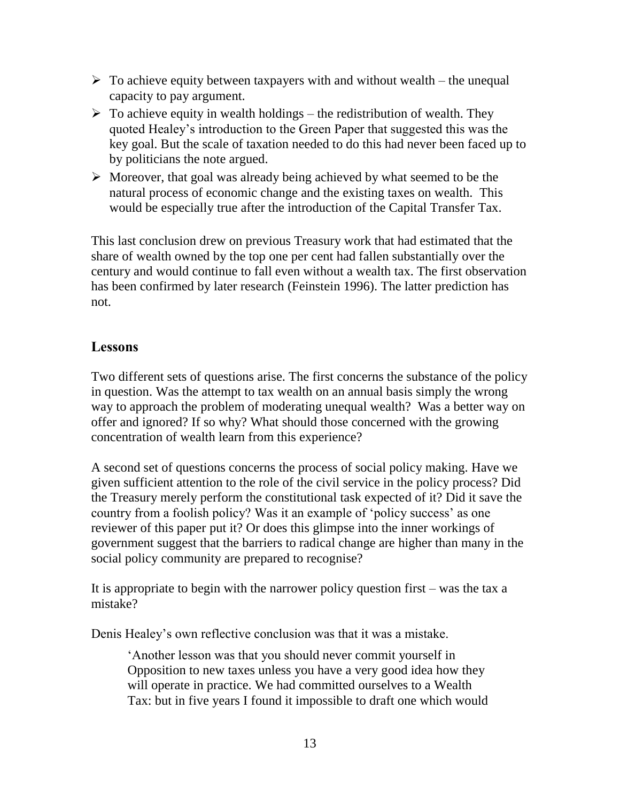- $\triangleright$  To achieve equity between taxpayers with and without wealth the unequal capacity to pay argument.
- $\triangleright$  To achieve equity in wealth holdings the redistribution of wealth. They quoted Healey"s introduction to the Green Paper that suggested this was the key goal. But the scale of taxation needed to do this had never been faced up to by politicians the note argued.
- $\triangleright$  Moreover, that goal was already being achieved by what seemed to be the natural process of economic change and the existing taxes on wealth. This would be especially true after the introduction of the Capital Transfer Tax.

This last conclusion drew on previous Treasury work that had estimated that the share of wealth owned by the top one per cent had fallen substantially over the century and would continue to fall even without a wealth tax. The first observation has been confirmed by later research (Feinstein 1996). The latter prediction has not.

### <span id="page-15-0"></span>**Lessons**

Two different sets of questions arise. The first concerns the substance of the policy in question. Was the attempt to tax wealth on an annual basis simply the wrong way to approach the problem of moderating unequal wealth? Was a better way on offer and ignored? If so why? What should those concerned with the growing concentration of wealth learn from this experience?

A second set of questions concerns the process of social policy making. Have we given sufficient attention to the role of the civil service in the policy process? Did the Treasury merely perform the constitutional task expected of it? Did it save the country from a foolish policy? Was it an example of 'policy success' as one reviewer of this paper put it? Or does this glimpse into the inner workings of government suggest that the barriers to radical change are higher than many in the social policy community are prepared to recognise?

It is appropriate to begin with the narrower policy question first – was the tax a mistake?

Denis Healey"s own reflective conclusion was that it was a mistake.

"Another lesson was that you should never commit yourself in Opposition to new taxes unless you have a very good idea how they will operate in practice. We had committed ourselves to a Wealth Tax: but in five years I found it impossible to draft one which would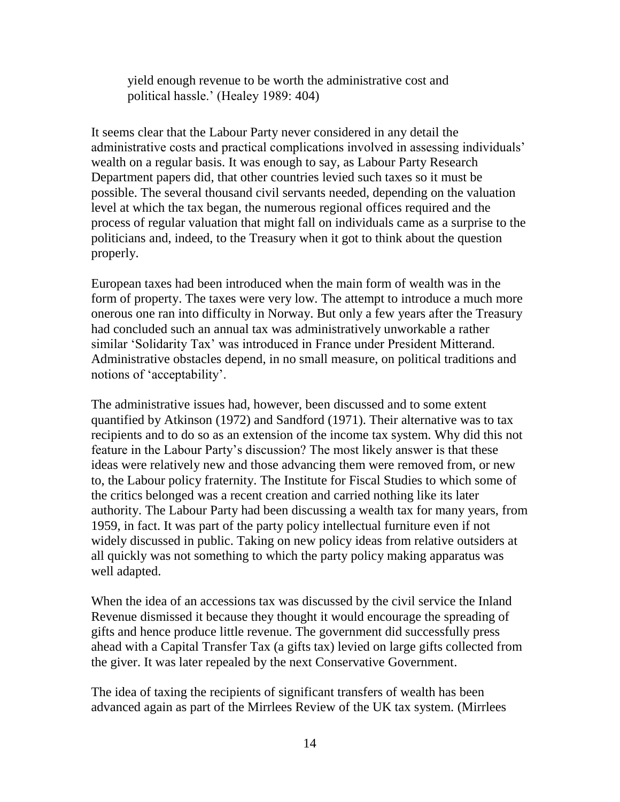yield enough revenue to be worth the administrative cost and political hassle." (Healey 1989: 404)

It seems clear that the Labour Party never considered in any detail the administrative costs and practical complications involved in assessing individuals" wealth on a regular basis. It was enough to say, as Labour Party Research Department papers did, that other countries levied such taxes so it must be possible. The several thousand civil servants needed, depending on the valuation level at which the tax began, the numerous regional offices required and the process of regular valuation that might fall on individuals came as a surprise to the politicians and, indeed, to the Treasury when it got to think about the question properly.

European taxes had been introduced when the main form of wealth was in the form of property. The taxes were very low. The attempt to introduce a much more onerous one ran into difficulty in Norway. But only a few years after the Treasury had concluded such an annual tax was administratively unworkable a rather similar "Solidarity Tax" was introduced in France under President Mitterand. Administrative obstacles depend, in no small measure, on political traditions and notions of "acceptability".

The administrative issues had, however, been discussed and to some extent quantified by Atkinson (1972) and Sandford (1971). Their alternative was to tax recipients and to do so as an extension of the income tax system. Why did this not feature in the Labour Party"s discussion? The most likely answer is that these ideas were relatively new and those advancing them were removed from, or new to, the Labour policy fraternity. The Institute for Fiscal Studies to which some of the critics belonged was a recent creation and carried nothing like its later authority. The Labour Party had been discussing a wealth tax for many years, from 1959, in fact. It was part of the party policy intellectual furniture even if not widely discussed in public. Taking on new policy ideas from relative outsiders at all quickly was not something to which the party policy making apparatus was well adapted.

When the idea of an accessions tax was discussed by the civil service the Inland Revenue dismissed it because they thought it would encourage the spreading of gifts and hence produce little revenue. The government did successfully press ahead with a Capital Transfer Tax (a gifts tax) levied on large gifts collected from the giver. It was later repealed by the next Conservative Government.

The idea of taxing the recipients of significant transfers of wealth has been advanced again as part of the Mirrlees Review of the UK tax system. (Mirrlees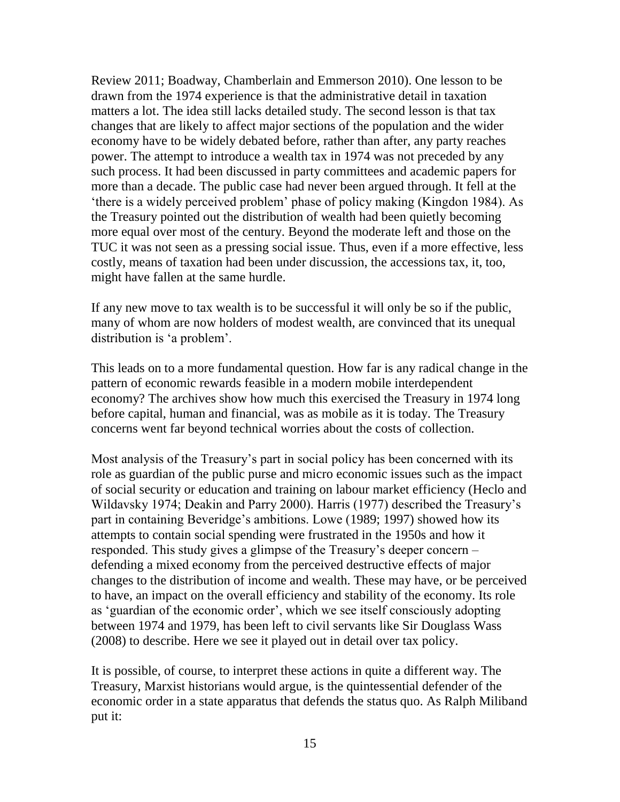Review 2011; Boadway, Chamberlain and Emmerson 2010). One lesson to be drawn from the 1974 experience is that the administrative detail in taxation matters a lot. The idea still lacks detailed study. The second lesson is that tax changes that are likely to affect major sections of the population and the wider economy have to be widely debated before, rather than after, any party reaches power. The attempt to introduce a wealth tax in 1974 was not preceded by any such process. It had been discussed in party committees and academic papers for more than a decade. The public case had never been argued through. It fell at the "there is a widely perceived problem" phase of policy making (Kingdon 1984). As the Treasury pointed out the distribution of wealth had been quietly becoming more equal over most of the century. Beyond the moderate left and those on the TUC it was not seen as a pressing social issue. Thus, even if a more effective, less costly, means of taxation had been under discussion, the accessions tax, it, too, might have fallen at the same hurdle.

If any new move to tax wealth is to be successful it will only be so if the public, many of whom are now holders of modest wealth, are convinced that its unequal distribution is 'a problem'.

This leads on to a more fundamental question. How far is any radical change in the pattern of economic rewards feasible in a modern mobile interdependent economy? The archives show how much this exercised the Treasury in 1974 long before capital, human and financial, was as mobile as it is today. The Treasury concerns went far beyond technical worries about the costs of collection.

Most analysis of the Treasury"s part in social policy has been concerned with its role as guardian of the public purse and micro economic issues such as the impact of social security or education and training on labour market efficiency (Heclo and Wildavsky 1974; Deakin and Parry 2000). Harris (1977) described the Treasury"s part in containing Beveridge's ambitions. Lowe (1989; 1997) showed how its attempts to contain social spending were frustrated in the 1950s and how it responded. This study gives a glimpse of the Treasury"s deeper concern – defending a mixed economy from the perceived destructive effects of major changes to the distribution of income and wealth. These may have, or be perceived to have, an impact on the overall efficiency and stability of the economy. Its role as "guardian of the economic order", which we see itself consciously adopting between 1974 and 1979, has been left to civil servants like Sir Douglass Wass (2008) to describe. Here we see it played out in detail over tax policy.

It is possible, of course, to interpret these actions in quite a different way. The Treasury, Marxist historians would argue, is the quintessential defender of the economic order in a state apparatus that defends the status quo. As Ralph Miliband put it: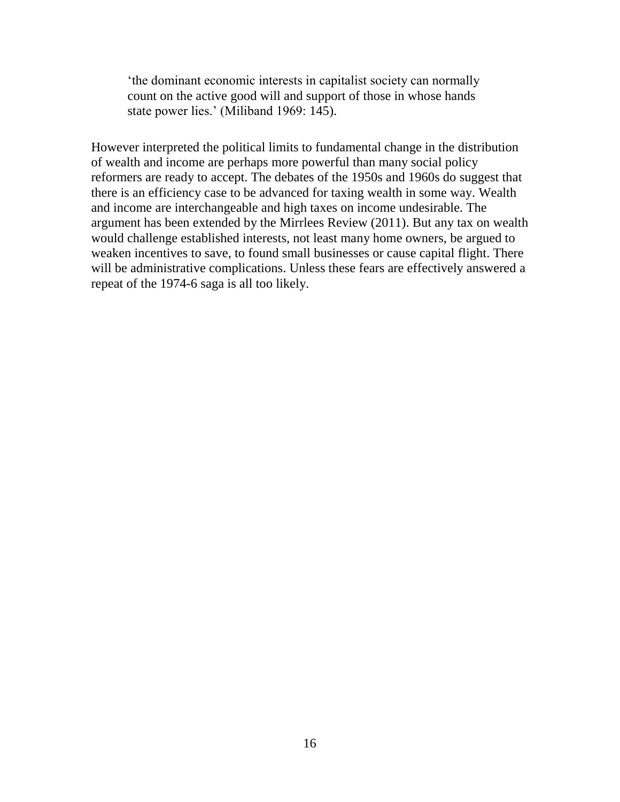"the dominant economic interests in capitalist society can normally count on the active good will and support of those in whose hands state power lies.' (Miliband 1969: 145).

However interpreted the political limits to fundamental change in the distribution of wealth and income are perhaps more powerful than many social policy reformers are ready to accept. The debates of the 1950s and 1960s do suggest that there is an efficiency case to be advanced for taxing wealth in some way. Wealth and income are interchangeable and high taxes on income undesirable. The argument has been extended by the Mirrlees Review (2011). But any tax on wealth would challenge established interests, not least many home owners, be argued to weaken incentives to save, to found small businesses or cause capital flight. There will be administrative complications. Unless these fears are effectively answered a repeat of the 1974-6 saga is all too likely.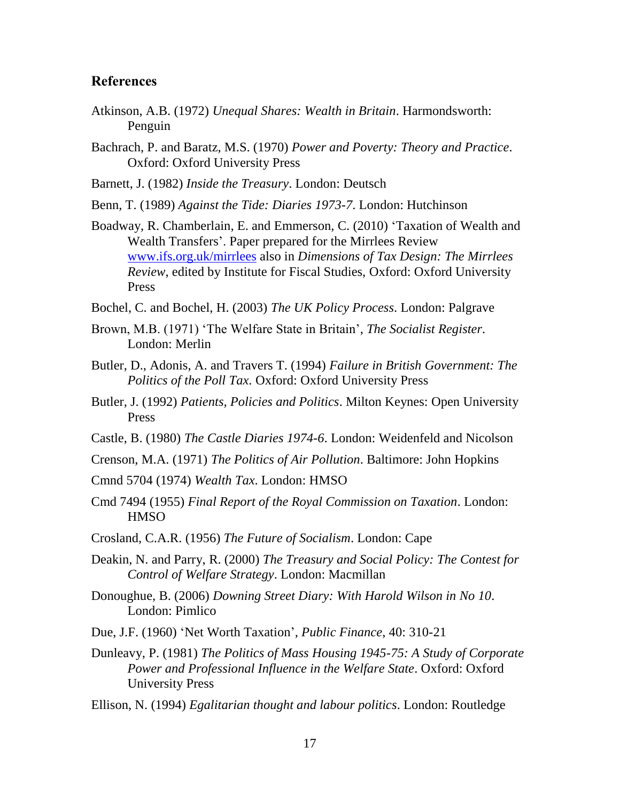#### <span id="page-19-0"></span>**References**

- Atkinson, A.B. (1972) *Unequal Shares: Wealth in Britain*. Harmondsworth: Penguin
- Bachrach, P. and Baratz, M.S. (1970) *Power and Poverty: Theory and Practice*. Oxford: Oxford University Press
- Barnett, J. (1982) *Inside the Treasury*. London: Deutsch

Benn, T. (1989) *Against the Tide: Diaries 1973-7*. London: Hutchinson

- Boadway, R. Chamberlain, E. and Emmerson, C. (2010) "Taxation of Wealth and Wealth Transfers'. Paper prepared for the Mirrlees Review [www.ifs.org.uk/mirrlees](http://www.ifs.org.uk/mirrlees) also in *Dimensions of Tax Design: The Mirrlees Review*, edited by Institute for Fiscal Studies, Oxford: Oxford University Press
- Bochel, C. and Bochel, H. (2003) *The UK Policy Process*. London: Palgrave
- Brown, M.B. (1971) "The Welfare State in Britain", *The Socialist Register*. London: Merlin
- Butler, D., Adonis, A. and Travers T. (1994) *Failure in British Government: The Politics of the Poll Tax.* Oxford: Oxford University Press
- Butler, J. (1992) *Patients, Policies and Politics*. Milton Keynes: Open University Press
- Castle, B. (1980) *The Castle Diaries 1974-6*. London: Weidenfeld and Nicolson
- Crenson, M.A. (1971) *The Politics of Air Pollution*. Baltimore: John Hopkins
- Cmnd 5704 (1974) *Wealth Tax*. London: HMSO
- Cmd 7494 (1955) *Final Report of the Royal Commission on Taxation*. London: **HMSO**
- Crosland, C.A.R. (1956) *The Future of Socialism*. London: Cape
- Deakin, N. and Parry, R. (2000) *The Treasury and Social Policy: The Contest for Control of Welfare Strategy*. London: Macmillan
- Donoughue, B. (2006) *Downing Street Diary: With Harold Wilson in No 10*. London: Pimlico
- Due, J.F. (1960) "Net Worth Taxation", *Public Finance*, 40: 310-21
- Dunleavy, P. (1981) *The Politics of Mass Housing 1945-75: A Study of Corporate Power and Professional Influence in the Welfare State*. Oxford: Oxford University Press
- Ellison, N. (1994) *Egalitarian thought and labour politics*. London: Routledge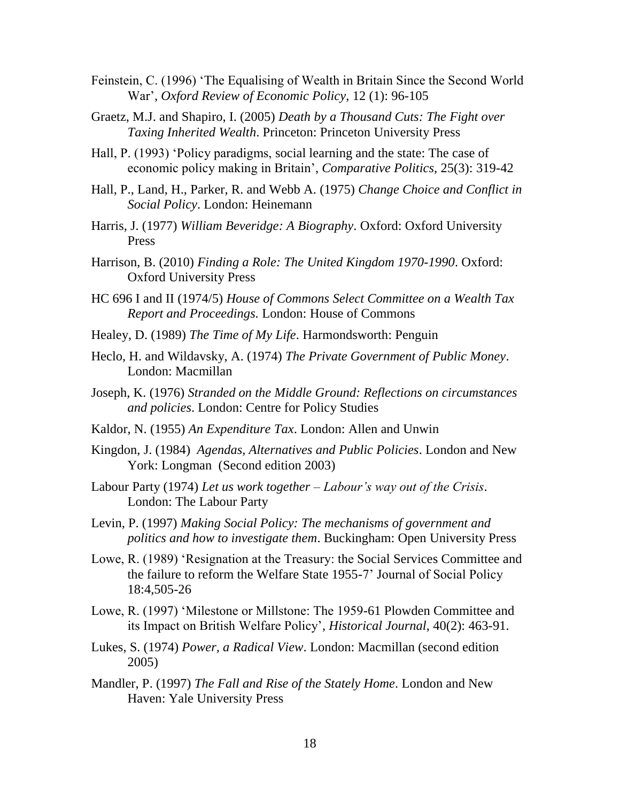- Feinstein, C. (1996) "The Equalising of Wealth in Britain Since the Second World War", *Oxford Review of Economic Policy*, 12 (1): 96-105
- Graetz, M.J. and Shapiro, I. (2005) *Death by a Thousand Cuts: The Fight over Taxing Inherited Wealth*. Princeton: Princeton University Press
- Hall, P. (1993) "Policy paradigms, social learning and the state: The case of economic policy making in Britain", *Comparative Politics*, 25(3): 319-42
- Hall, P., Land, H., Parker, R. and Webb A. (1975) *Change Choice and Conflict in Social Policy*. London: Heinemann
- Harris, J. (1977) *William Beveridge: A Biography*. Oxford: Oxford University Press
- Harrison, B. (2010) *Finding a Role: The United Kingdom 1970-1990*. Oxford: Oxford University Press
- HC 696 I and II (1974/5) *House of Commons Select Committee on a Wealth Tax Report and Proceedings.* London: House of Commons
- Healey, D. (1989) *The Time of My Life*. Harmondsworth: Penguin
- Heclo, H. and Wildavsky, A. (1974) *The Private Government of Public Money*. London: Macmillan
- Joseph, K. (1976) *Stranded on the Middle Ground: Reflections on circumstances and policies*. London: Centre for Policy Studies
- Kaldor, N. (1955) *An Expenditure Tax*. London: Allen and Unwin
- Kingdon, J. (1984) *Agendas, Alternatives and Public Policies*. London and New York: Longman (Second edition 2003)
- Labour Party (1974) *Let us work together – Labour's way out of the Crisis*. London: The Labour Party
- Levin, P. (1997) *Making Social Policy: The mechanisms of government and politics and how to investigate them*. Buckingham: Open University Press
- Lowe, R. (1989) "Resignation at the Treasury: the Social Services Committee and the failure to reform the Welfare State 1955-7" Journal of Social Policy 18:4,505-26
- Lowe, R. (1997) "Milestone or Millstone: The 1959-61 Plowden Committee and its Impact on British Welfare Policy", *Historical Journal*, 40(2): 463-91.
- Lukes, S. (1974) *Power, a Radical View*. London: Macmillan (second edition 2005)
- Mandler, P. (1997) *The Fall and Rise of the Stately Home*. London and New Haven: Yale University Press